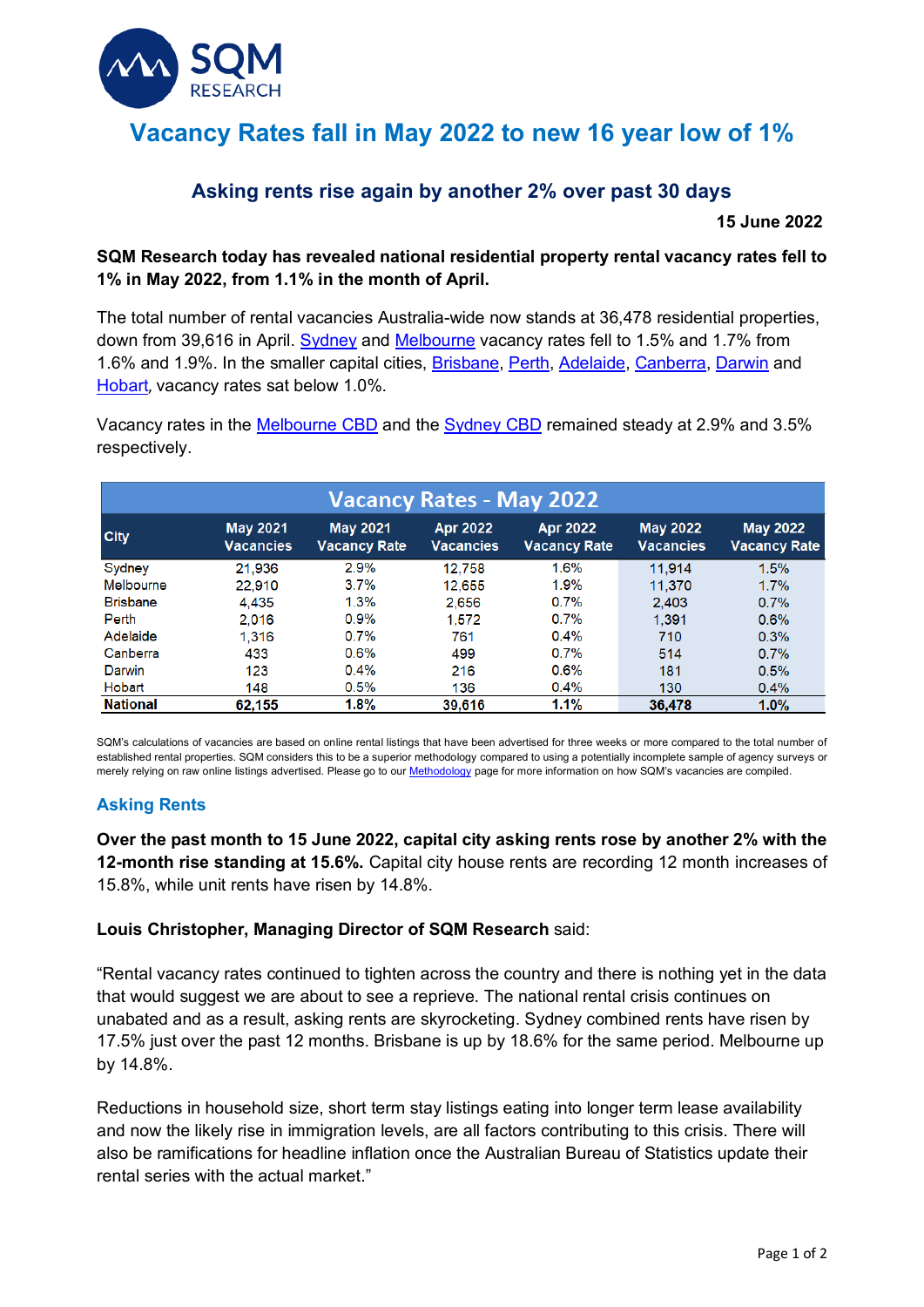

# **Vacancy Rates fall in May 2022 to new 16 year low of 1%**

# **Asking rents rise again by another 2% over past 30 days**

**15 June 2022**

## **SQM Research today has revealed national residential property rental vacancy rates fell to 1% in May 2022, from 1.1% in the month of April.**

The total number of rental vacancies Australia-wide now stands at 36,478 residential properties, down from 39,616 in April. Sydney and Melbourne vacancy rates fell to 1.5% and 1.7% from 1.6% and 1.9%. In the smaller capital cities, Brisbane, Perth, Adelaide, Canberra, Darwin and Hobart, vacancy rates sat below 1.0%.

Vacancy rates in the Melbourne CBD and the Sydney CBD remained steady at 2.9% and 3.5% respectively.

| <b>Vacancy Rates - May 2022</b> |                              |                                        |                                     |                                        |                                     |                                        |
|---------------------------------|------------------------------|----------------------------------------|-------------------------------------|----------------------------------------|-------------------------------------|----------------------------------------|
| <b>City</b>                     | <b>May 2021</b><br>Vacancies | <b>May 2021</b><br><b>Vacancy Rate</b> | <b>Apr 2022</b><br><b>Vacancies</b> | <b>Apr 2022</b><br><b>Vacancy Rate</b> | <b>May 2022</b><br><b>Vacancies</b> | <b>May 2022</b><br><b>Vacancy Rate</b> |
| Sydney                          | 21.936                       | 2.9%                                   | 12.758                              | 1.6%                                   | 11.914                              | 1.5%                                   |
| Melbourne                       | 22.910                       | 3.7%                                   | 12.655                              | 1.9%                                   | 11.370                              | 1.7%                                   |
| <b>Brisbane</b>                 | 4.435                        | 1.3%                                   | 2.656                               | 0.7%                                   | 2.403                               | 0.7%                                   |
| Perth                           | 2.016                        | 0.9%                                   | 1.572                               | 0.7%                                   | 1.391                               | 0.6%                                   |
| Adelaide                        | 1.316                        | 0.7%                                   | 761                                 | $0.4\%$                                | 710                                 | 0.3%                                   |
| Canberra                        | 433                          | 0.6%                                   | 499                                 | 0.7%                                   | 514                                 | 0.7%                                   |
| Darwin                          | 123                          | 0.4%                                   | 216                                 | 0.6%                                   | 181                                 | 0.5%                                   |
| Hobart                          | 148                          | 0.5%                                   | 136                                 | 0.4%                                   | 130                                 | 0.4%                                   |
| <b>National</b>                 | 62,155                       | 1.8%                                   | 39,616                              | 1.1%                                   | 36.478                              | 1.0%                                   |

SQM's calculations of vacancies are based on online rental listings that have been advertised for three weeks or more compared to the total number of established rental properties. SQM considers this to be a superior methodology compared to using a potentially incomplete sample of agency surveys or merely relying on raw online listings advertised. Please go to our **Methodology** page for more information on how SQM's vacancies are compiled.

## **Asking Rents**

**Over the past month to 15 June 2022, capital city asking rents rose by another 2% with the 12-month rise standing at 15.6%.** Capital city house rents are recording 12 month increases of 15.8%, while unit rents have risen by 14.8%.

#### **Louis Christopher, Managing Director of SQM Research** said:

"Rental vacancy rates continued to tighten across the country and there is nothing yet in the data that would suggest we are about to see a reprieve. The national rental crisis continues on unabated and as a result, asking rents are skyrocketing. Sydney combined rents have risen by 17.5% just over the past 12 months. Brisbane is up by 18.6% for the same period. Melbourne up by 14.8%.

Reductions in household size, short term stay listings eating into longer term lease availability and now the likely rise in immigration levels, are all factors contributing to this crisis. There will also be ramifications for headline inflation once the Australian Bureau of Statistics update their rental series with the actual market."